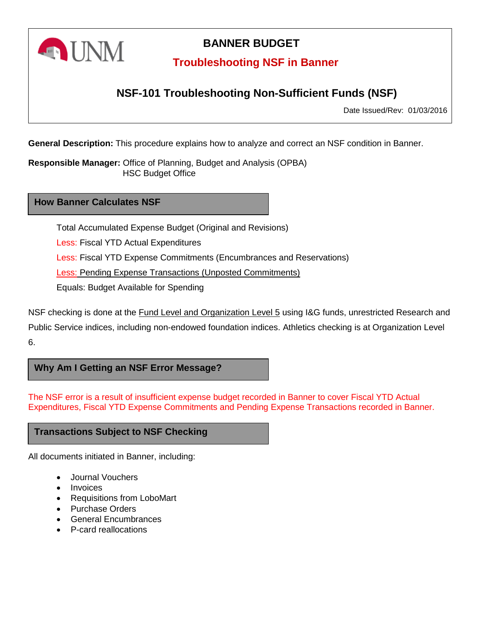

# **BANNER BUDGET**

# **Troubleshooting NSF in Banner**

# **NSF-101 Troubleshooting Non-Sufficient Funds (NSF)**

Date Issued/Rev: 01/03/2016

**General Description:** This procedure explains how to analyze and correct an NSF condition in Banner.

## **Responsible Manager:** Office of Planning, Budget and Analysis (OPBA) HSC Budget Office

**How Banner Calculates NSF**

Total Accumulated Expense Budget (Original and Revisions)

Less: Fiscal YTD Actual Expenditures

Less: Fiscal YTD Expense Commitments (Encumbrances and Reservations)

Less: Pending Expense Transactions (Unposted Commitments)

Equals: Budget Available for Spending

NSF checking is done at the Fund Level and Organization Level 5 using I&G funds, unrestricted Research and Public Service indices, including non-endowed foundation indices. Athletics checking is at Organization Level 6.

# **Why Am I Getting an NSF Error Message?**

The NSF error is a result of insufficient expense budget recorded in Banner to cover Fiscal YTD Actual Expenditures, Fiscal YTD Expense Commitments and Pending Expense Transactions recorded in Banner.

## **Transactions Subject to NSF Checking**

All documents initiated in Banner, including:

- Journal Vouchers
- **Invoices**
- Requisitions from LoboMart
- Purchase Orders
- General Encumbrances
- P-card reallocations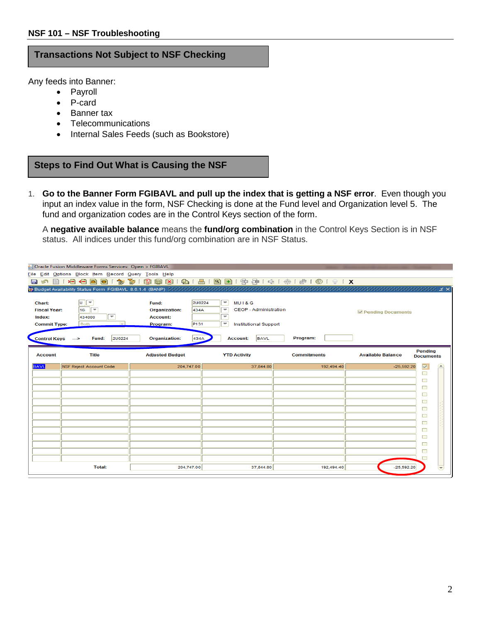### **Transactions Not Subject to NSF Checking**

Any feeds into Banner:

- Payroll
- P-card
- Banner tax
- Telecommunications
- Internal Sales Feeds (such as Bookstore)

**Steps to Find Out What is Causing the NSF**

1. **Go to the Banner Form FGIBAVL and pull up the index that is getting a NSF error**. Even though you input an index value in the form, NSF Checking is done at the Fund level and Organization level 5. The fund and organization codes are in the Control Keys section of the form.

A **negative available balance** means the **fund/org combination** in the Control Keys Section is in NSF status. All indices under this fund/org combination are in NSF Status.

|                                                                                              | 6 Oracle Fusion Middleware Forms Services: Open > FGIBAVL                                                                 |                                                                                                                                                                                                                                      |                                                                                                                        |                    |                          |                                        |
|----------------------------------------------------------------------------------------------|---------------------------------------------------------------------------------------------------------------------------|--------------------------------------------------------------------------------------------------------------------------------------------------------------------------------------------------------------------------------------|------------------------------------------------------------------------------------------------------------------------|--------------------|--------------------------|----------------------------------------|
|                                                                                              | File Edit Options Block Item Record Query Tools Help                                                                      |                                                                                                                                                                                                                                      |                                                                                                                        |                    |                          |                                        |
| 日の                                                                                           | 11 12 13 2 1 2                                                                                                            | 寄し                                                                                                                                                                                                                                   |                                                                                                                        |                    |                          |                                        |
|                                                                                              |                                                                                                                           | <b>Conservation in the Conservation of Conservation of the Conservation of the Conservation of the Conservation of the Conservation of the Conservation of the Conservation of the Conservation of the Conservation of the Conse</b> |                                                                                                                        |                    | $\sim$ $\sim$ $\times$   |                                        |
| <b>Chart:</b><br><b>Fiscal Year:</b><br>Index:<br><b>Commit Type:</b><br><b>Control Keys</b> | $\mathbf{u}$ $\mathbf{v}$<br>$\overline{\phantom{a}}$<br>16<br>◚<br>434000<br><b>Both</b><br>Fund:<br><b>200224</b><br>حب | <b>2U0224</b><br><b>Fund:</b><br><b>Organization:</b><br>434A<br><b>Account:</b><br>P <sub>131</sub><br>Program:<br><b>Organization:</b><br>434A                                                                                     | 「▼<br>MUI&G<br>「▼<br>CEOP - Administration<br>☞<br>ஈ<br><b>Institutional Support</b><br><b>BAVL</b><br><b>Account:</b> | Program:           | Pending Documents        |                                        |
| <b>Account</b>                                                                               | <b>Title</b>                                                                                                              | <b>Adjusted Budget</b>                                                                                                                                                                                                               | <b>YTD Activity</b>                                                                                                    | <b>Commitments</b> | <b>Available Balance</b> | <b>Pending</b><br><b>Documents</b>     |
| <b>BAVL</b>                                                                                  | <b>NSF Reject Account Code</b>                                                                                            | 204,747.00                                                                                                                                                                                                                           | 37,844.80                                                                                                              | 192,494.40         | $-25,592.20$             | $\overline{\mathbb{R}}$<br>$\triangle$ |
|                                                                                              |                                                                                                                           |                                                                                                                                                                                                                                      |                                                                                                                        |                    |                          | $\Box$                                 |
|                                                                                              |                                                                                                                           |                                                                                                                                                                                                                                      |                                                                                                                        |                    |                          | □                                      |
|                                                                                              |                                                                                                                           |                                                                                                                                                                                                                                      |                                                                                                                        |                    |                          | $\Box$                                 |
|                                                                                              |                                                                                                                           |                                                                                                                                                                                                                                      |                                                                                                                        |                    |                          | $\Box$                                 |
|                                                                                              |                                                                                                                           |                                                                                                                                                                                                                                      |                                                                                                                        |                    |                          | $\Box$                                 |
|                                                                                              |                                                                                                                           |                                                                                                                                                                                                                                      |                                                                                                                        |                    |                          | □<br>□                                 |
|                                                                                              |                                                                                                                           |                                                                                                                                                                                                                                      |                                                                                                                        |                    |                          | П                                      |
|                                                                                              |                                                                                                                           |                                                                                                                                                                                                                                      |                                                                                                                        |                    |                          | □                                      |
|                                                                                              |                                                                                                                           |                                                                                                                                                                                                                                      |                                                                                                                        |                    |                          | □                                      |
|                                                                                              |                                                                                                                           |                                                                                                                                                                                                                                      |                                                                                                                        |                    |                          | $\Box$                                 |
|                                                                                              |                                                                                                                           |                                                                                                                                                                                                                                      |                                                                                                                        |                    |                          |                                        |
|                                                                                              |                                                                                                                           |                                                                                                                                                                                                                                      |                                                                                                                        |                    |                          | $\Box$                                 |
|                                                                                              |                                                                                                                           |                                                                                                                                                                                                                                      |                                                                                                                        |                    |                          |                                        |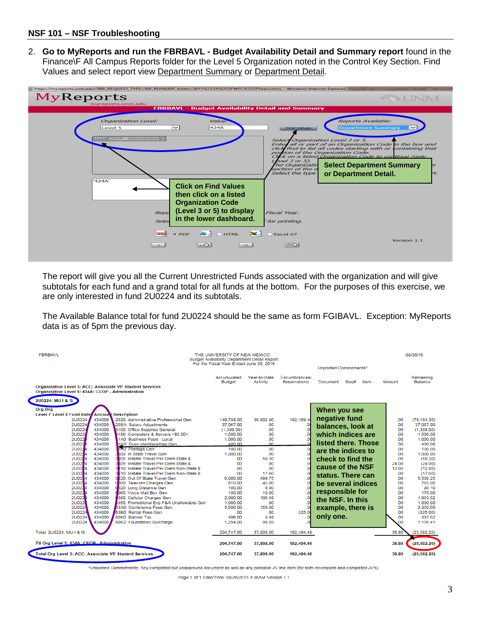2. **Go to MyReports and run the FBRBAVL - Budget Availability Detail and Summary report** found in the Finance\F All Campus Reports folder for the Level 5 Organization noted in the Control Key Section. Find Values and select report view Department Summary or Department Detail.



The report will give you all the Current Unrestricted Funds associated with the organization and will give subtotals for each fund and a grand total for all funds at the bottom. For the purposes of this exercise, we are only interested in fund 2U0224 and its subtotals.

The Available Balance total for fund 2U0224 should be the same as form FGIBAVL. Exception: MyReports data is as of 5pm the previous day.

| <b>FBRBAVL</b>                                                  |                                                                       | THE UNIVERSITY OF NEW MEXICO<br><b>Budget Availability Department Detail Report</b><br>For the Fiscal Year Ended June 30, 2016 |                          |                                      |                                 |           | 08/26/15                    |
|-----------------------------------------------------------------|-----------------------------------------------------------------------|--------------------------------------------------------------------------------------------------------------------------------|--------------------------|--------------------------------------|---------------------------------|-----------|-----------------------------|
|                                                                 |                                                                       |                                                                                                                                |                          |                                      | Unposted Commitments*           |           |                             |
| <b>Organization Level 3: ACC: Associate VP Student Services</b> |                                                                       | Accumulated<br><b>Budget</b>                                                                                                   | Year-to-Date<br>Activity | Encumbrances/<br><b>Reservations</b> | <b>Document</b><br>Seq#<br>Item | Amount    | Remaining<br><b>Balance</b> |
| Organization Level 5: 434A: CEOP - Administration               |                                                                       |                                                                                                                                |                          |                                      |                                 |           |                             |
| 200224: MUI& G                                                  |                                                                       |                                                                                                                                |                          |                                      |                                 |           |                             |
| <b>Org Org</b><br><b>Level 7 Level 8 Fund Index</b><br>Accour   | <b>Description</b>                                                    |                                                                                                                                |                          |                                      | When you see                    |           |                             |
| 434000<br>2U0224                                                | 2020: Administrative Professional Gen                                 | 149.788.00                                                                                                                     | 36.802.90                | 192.169.4                            | negative fund                   | 00        | (79, 184, 30)               |
| 434000<br>2U0224                                                | 20SA: Salary Adiustments                                              | 37.067.00                                                                                                                      | .00                      |                                      | balances, look at               | .00       | 37.067.00                   |
| 2U0224<br>434000                                                | 3100: Office Supplies General                                         | (1,398.00)                                                                                                                     | .00                      |                                      |                                 | .00       | (1,398.00)                  |
| 2U022<br>434000                                                 | \$189: Computers & Servers <\$5,001                                   | 1.500.00                                                                                                                       | .00 <sub>1</sub>         |                                      | which indices are               | 00        | 1.500.00                    |
| <b>2U022</b><br>434000                                          | 1A0: Business Food - Local                                            | 1.000.00                                                                                                                       | 00                       |                                      | listed there. Those             | -00       | 1.000.00                    |
| 2U022<br>434000                                                 | 1C0: Dues Memberships Gen                                             | 400.00                                                                                                                         | 00                       |                                      |                                 | .00       | 400.00                      |
| 434000<br>2U022<br>2U022<br>434000                              | NO: Postage Gen<br><b>800: In State Travel Gen</b>                    | 100.00                                                                                                                         | .00 <sub>1</sub><br>00   | ٥.                                   | are the indices to              | .00<br>00 | 100.00                      |
| 2U0214<br>434000                                                | 05: Instate Travel-Per Diem State \$                                  | 1.000.00<br>.00                                                                                                                | 58.30                    |                                      | check to find the               | .00       | 1.000.00<br>(58.30)         |
| 2U0214<br>434000                                                | 3805: Instate Travel-Per Diem State \$                                | .00                                                                                                                            | .00                      |                                      |                                 | 24.00     | (24.00)                     |
| 434000<br>2U0214                                                | 3810: Instate Travel-Per Diem Non-State \$                            | .00                                                                                                                            | 00                       |                                      | cause of the NSF                | 12.80     | (12.80)                     |
| 2U0214<br>434000                                                | 10: Instate Travel-Per Diem Non-State \$                              | .00                                                                                                                            | 17.60                    |                                      |                                 | .00       | (17.60)                     |
| 2U0214<br>434000                                                | 320: Out Of State Travel Gen                                          | 6.000.00                                                                                                                       | 499.75                   |                                      | status. There can               | .00       | 5.500.25                    |
| 2U0224<br>434000                                                | 6000: Telecom Charges Gen                                             | 810.00                                                                                                                         | 45.00                    | $\Omega$                             | be several indices              | 00        | 765.00                      |
| 2U022<br>434000                                                 | 6020: Long Distance Gen                                               | 100.00                                                                                                                         | 9.90                     |                                      |                                 | -00       | 90.10                       |
| 2U022<br>434000                                                 | 6060: Voice Mail Box Gen                                              | 180.00                                                                                                                         | 10.00                    |                                      | responsible for                 | .00       | 170.00                      |
| 2U022<br>434000                                                 | 080: Cellular Charges Gen                                             | 2.000.00                                                                                                                       | 106.98<br>00             |                                      | the NSF. In this                | .00       | 1.893.02                    |
| 2U022<br>434000<br>2U0224<br>434000                             | 350: Promotional Exp F&A Unallowable Gen<br>63A0: Conference Fees Gen | 1.000.00<br>3,500.00                                                                                                           | 150.00                   |                                      |                                 | 00<br>.00 | 1.000.00<br>3,350.00        |
| 2U0224<br>434000                                                | 63B0: Rental Fees Gen                                                 | .00                                                                                                                            | .00                      | 325.0                                | example, there is               | .00       | (325.00)                    |
| 2U0224<br>434000                                                | 80K0: Banner Tax                                                      | 406.00                                                                                                                         | 8.98                     | .0                                   | only one.                       | .00       | 397.02                      |
| 2U0224<br>434000                                                | 80K2: Foundation Surcharge                                            | 1.294.00                                                                                                                       | 98.59                    | ۰O                                   |                                 | 00        | 1.195.41                    |
|                                                                 |                                                                       |                                                                                                                                |                          |                                      |                                 |           |                             |
| Total: 2U0224: MU I & G                                         |                                                                       | 204,747.00                                                                                                                     | 37,808.00                | 192,494.40                           |                                 | 36.80     | (25, 592.20)                |
| Ttl Org Level 5: 434A: CEOP - Administration                    |                                                                       | 204,747.00                                                                                                                     | 37,808.00                | 192,494.40                           |                                 | 36.80     | (25, 592.20)                |
|                                                                 |                                                                       |                                                                                                                                |                          |                                      |                                 |           |                             |
| Total Org Level 3: ACC: Associate VP Student Services           |                                                                       | 204,747.00                                                                                                                     | 37,808.00                | 192,494.40                           |                                 | 36.80     | (25, 592.20)                |

\*Unposted Commitments: Any completed but unapproved document as well as any postable JV line item (for both incomplete and completed JV's).

Page 1 of 1 Date/Time: 08/26/2015 9:36AM Version 1.1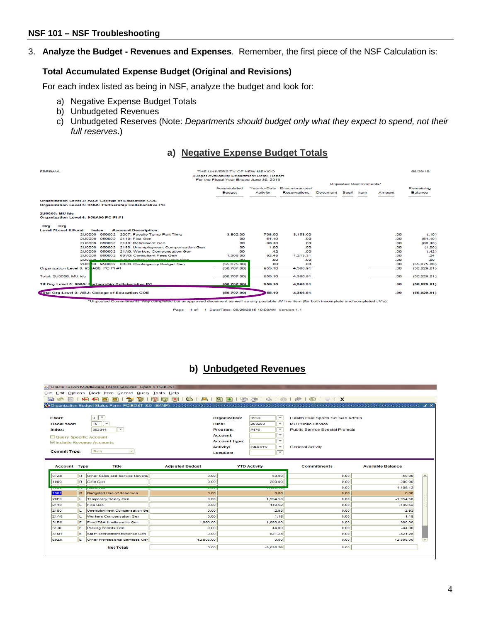### 3. **Analyze the Budget - Revenues and Expenses**. Remember, the first piece of the NSF Calculation is:

#### **Total Accumulated Expense Budget (Original and Revisions)**

For each index listed as being in NSF, analyze the budget and look for:

- a) Negative Expense Budget Totals
- b) Unbudgeted Revenues
- c) Unbudgeted Reserves (Note: *Departments should budget only what they expect to spend, not their full reserves*.)

# **a) Negative Expense Budget Totals**

| <b>FBRBAVL</b>                                                                                                         | THE UNIVERSITY OF NEW MEXICO<br><b>Budget Availability Department Detail Report</b><br>For the Fiscal Year Ended June 30, 2016 |              |                                                                                                       |          |            |                              |                  | 08/26/15         |
|------------------------------------------------------------------------------------------------------------------------|--------------------------------------------------------------------------------------------------------------------------------|--------------|-------------------------------------------------------------------------------------------------------|----------|------------|------------------------------|------------------|------------------|
|                                                                                                                        |                                                                                                                                |              |                                                                                                       |          |            | <b>Unposted Commitments*</b> |                  |                  |
|                                                                                                                        | Accumulated                                                                                                                    | Year-to-Date | <b>Encumbrances/</b>                                                                                  |          |            |                              |                  | Remaining        |
|                                                                                                                        | <b>Budget</b>                                                                                                                  | Activity     | <b>Reservations</b>                                                                                   | Document | $Stheta$ # | Item                         | Amount           | Balance          |
| <b>Organization Level 3: ABJ: College of Education COE</b><br>Organization Level 5: 950A: Partnership Collaborative PC |                                                                                                                                |              |                                                                                                       |          |            |                              |                  |                  |
| 2U0006: MU Ide<br>Organization Level 6: 950A00 PC PI #1                                                                |                                                                                                                                |              |                                                                                                       |          |            |                              |                  |                  |
| Org<br>Org<br><b>Level 7Level 8 Fund</b><br><b>Account Description</b><br>Index                                        |                                                                                                                                |              |                                                                                                       |          |            |                              |                  |                  |
| 2007: Faculty Temp Part Time<br>2U0006 950002                                                                          | 3,862.00                                                                                                                       | 708.50       | 3.153.60                                                                                              |          |            |                              | .oo              | (.10)            |
| 2110: Fica Gen<br>950002<br><b>2U0006</b>                                                                              | .00                                                                                                                            | 54.19        | <b>OD</b>                                                                                             |          |            |                              | .00              | (54.19)          |
| 2140: Retirement Gen<br>950002<br>200006                                                                               | .00                                                                                                                            | 98.48        | <b>OD</b>                                                                                             |          |            |                              | .oo              | (98.48)          |
| 950002<br><b>2U0006</b><br>2180: Unemployment Compensation Gen                                                         | 00                                                                                                                             | 1.06         | 00.                                                                                                   |          |            |                              | 00               | (1.06)           |
| 21A0: Workers Compensation Gen<br>950002<br><b>2U0006</b>                                                              | .oo                                                                                                                            | .42          | <b>OD</b>                                                                                             |          |            |                              | .oo              | (.42)            |
| 2U0006 950002<br>63V0: Consultant Fees Gen                                                                             | 1,306.00                                                                                                                       | 92.45        | 1.213.31                                                                                              |          |            |                              | 00               | .24              |
| 2U0006 950002 8060; Other Operating Costs Gen                                                                          | $00-$                                                                                                                          | .00          | .OO                                                                                                   |          |            |                              | .00              | .00 <sub>0</sub> |
| 2U0006 950002 80E0: Contingency Budget Gen                                                                             | (55, 875, 00)                                                                                                                  | .00          | $-00$                                                                                                 |          |            |                              | <b>OO</b>        | (55, 875, 00)    |
| Organization Level 6: 95 JA00: PC PI #1                                                                                | (50.707.00)                                                                                                                    | 955.10       | 4.366.91                                                                                              |          |            |                              | 00               | (56.029.01)      |
| Total: 2U0006: MU Idc                                                                                                  | (50.707.00)                                                                                                                    | 955.10       | 4.366.91                                                                                              |          |            |                              | .oo              | (56.029.01)      |
| Ttl Org Level 5: 950A: Fartnership Collaborative PC                                                                    | (50, 707, 00)                                                                                                                  | 955.10       | 4.366.91                                                                                              |          |            |                              | .00 <sub>1</sub> | (56.029.01)      |
| otal Org Level 3: ABJ: College of Education COE                                                                        | (50, 707, 00)                                                                                                                  | 55.10        | 4,366,91                                                                                              |          |            |                              | .00              | (56, 029, 01)    |
| the company's company's company's company's company's company's company's company's company's company's company's      | and the second and sea could                                                                                                   |              | and considered the first first first of the book for example to a state of consideration of the first |          |            |                              |                  |                  |

Page 1 of 1 Date/Time: 08/26/2015 10:03AM Version 1.1

# **b) Unbudgeted Revenues**

| s,                                 | Oracle Fusion Middleware Forms Services: Open > FGIBDST |                                                         |                      |                                           |                                        |                          |                          |
|------------------------------------|---------------------------------------------------------|---------------------------------------------------------|----------------------|-------------------------------------------|----------------------------------------|--------------------------|--------------------------|
|                                    | File Edit Options Block Item Record Query Tools Help    |                                                         |                      |                                           |                                        |                          |                          |
| >⊟≀<br>$\equiv$<br>e<br>$n \leq 1$ | 制<br>畜<br>∢⊟<br>a<br>a)                                 | $\bigoplus$ (<br>冎<br>$\mathbb{Z}$<br>证<br>$\mathbf{X}$ |                      |                                           | B B 「国 国 博 」 中 「 非 「 非 「 中 「 © 「 ♀ 「 X |                          |                          |
|                                    |                                                         |                                                         |                      |                                           |                                        |                          |                          |
|                                    |                                                         |                                                         |                      |                                           |                                        |                          |                          |
| <b>Chart:</b>                      | $\overline{\phantom{a}}$<br>ΙUΙ                         |                                                         | <b>Organization:</b> | $\overline{\phantom{a}}$<br>353B          | Health Exer Sports Sci Gen Admin       |                          |                          |
| <b>Fiscal Year:</b>                | $\overline{\phantom{a}}$<br>16                          |                                                         | Fund:                | $\overline{\phantom{a}}$<br><b>2U0203</b> | <b>MU Public Service</b>               |                          |                          |
| Index:                             | $\overline{\phantom{a}}$<br>353044                      |                                                         | Program:             | $\overline{\phantom{a}}$<br>P176          | <b>Public Service Special Projects</b> |                          |                          |
| Query Specific Account             |                                                         |                                                         | <b>Account:</b>      | $\overline{\phantom{a}}$                  |                                        |                          |                          |
| Minclude Revenue Accounts          |                                                         |                                                         | <b>Account Type:</b> | $\overline{\phantom{a}}$                  |                                        |                          |                          |
|                                    |                                                         |                                                         | <b>Activity:</b>     | $\overline{\phantom{a}}$<br><b>GNACTV</b> | <b>General Activity</b>                |                          |                          |
| <b>Commit Type:</b>                | <b>Both</b>                                             |                                                         | <b>Location:</b>     | $\overline{\phantom{a}}$                  |                                        |                          |                          |
|                                    |                                                         |                                                         |                      |                                           |                                        |                          |                          |
|                                    |                                                         |                                                         |                      |                                           |                                        |                          |                          |
|                                    | <b>Title</b>                                            | <b>Adjusted Budget</b>                                  |                      | <b>YTD Activity</b>                       | <b>Commitments</b>                     | <b>Available Balance</b> |                          |
| <b>Account Type</b>                |                                                         |                                                         |                      |                                           |                                        |                          |                          |
| R.<br>07Z0                         | Other Sales and Service Revenu                          | 0.00                                                    |                      | 50.00                                     | 0.00                                   | $-50.00$                 |                          |
| R.<br>1000                         | Gifts Gen                                               | 0.00                                                    |                      | 200.00                                    | 0.00                                   | $-200.00$                |                          |
| 11 T                               |                                                         |                                                         |                      |                                           | 0.00                                   | 1,195.13                 |                          |
| 1901<br>R.                         | <b>Budgeted Use of Reserves</b>                         | 0.00                                                    |                      | 0.00                                      | 0.00                                   | 0.00                     |                          |
| <b>20P0</b><br>L.                  | <b>Temporary Salary Gen</b>                             | 0.00                                                    |                      | 1,954.50                                  | 0.00                                   | $-1,954.50$              |                          |
| L<br>2110                          | Fica Gen                                                | 0.00                                                    |                      | 149.52                                    | 0.00                                   | $-149.52$                |                          |
| 2180<br>L                          | <b>Unemployment Compensation Ge</b>                     | 0.00                                                    |                      | 2.93                                      | 0.00                                   | $-2.93$                  |                          |
| <b>21A0</b><br>L                   | <b>Workers Compensation Gen</b>                         | 0.00                                                    |                      | 1.18                                      | 0.00                                   | $-1.18$                  |                          |
| lE.<br>31B0                        | Food F&A Unallowable Gen                                | 1.980.00                                                |                      | 1.080.00                                  | 0.00                                   | 900.00                   |                          |
| lE.<br>31J0                        | Parking Permits Gen                                     | 0.00                                                    |                      | 44.00                                     | 0.00                                   | $-44.00$                 |                          |
| E.<br>31M1                         | Staff Recruitment Expense Gen                           | 0.00                                                    |                      | 821.28                                    | 0.00                                   | $-821.28$                |                          |
| lE.<br>69Z0                        | Other Professional Services Ger                         | 12,805.00                                               |                      | 0.00                                      | 0.00                                   | 12,805.00                | $\overline{\phantom{0}}$ |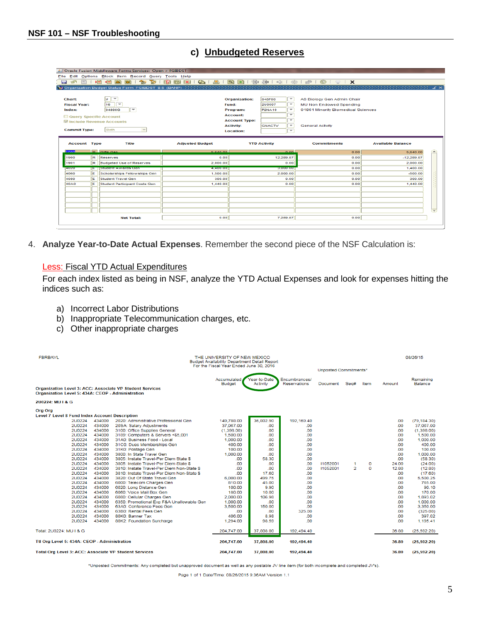| 画                      |     | Oracle Fusion Middleware Forms Services: Open > FGIBDST |                        |                      |                                           |                                    |                          |                          |
|------------------------|-----|---------------------------------------------------------|------------------------|----------------------|-------------------------------------------|------------------------------------|--------------------------|--------------------------|
|                        |     | Eile Edit Options Block Item Record Query Tools Help    |                        |                      |                                           |                                    |                          |                          |
| <b>B</b><br>目          |     | <b>DE EK</b><br>■ ● ●<br>ð.                             |                        |                      |                                           |                                    |                          |                          |
|                        |     |                                                         |                        |                      |                                           |                                    |                          |                          |
|                        |     |                                                         |                        |                      |                                           |                                    |                          |                          |
| Chart:                 |     | ÷<br>ΙUΙ                                                |                        | <b>Organization:</b> | $\overline{\phantom{a}}$<br>048F00        | AS Biology Gen Admin Chair         |                          |                          |
| <b>Fiscal Year:</b>    |     | $\overline{\phantom{a}}$<br>16                          |                        | Fund:                | ٠<br>200007                               | <b>MU Non Endowed Spending</b>     |                          |                          |
| Index:                 |     | $\overline{\phantom{a}}$<br>04800G                      |                        | Program:             | $\overline{\phantom{a}}$<br><b>P2NA10</b> | 01861 Minority Biomedical Sciences |                          |                          |
| Query Specific Account |     |                                                         |                        | <b>Account:</b>      | ÷                                         |                                    |                          |                          |
|                        |     | Include Revenue Accounts                                |                        | <b>Account Type:</b> | ۰                                         |                                    |                          |                          |
|                        |     |                                                         |                        | <b>Activity:</b>     | $\overline{\phantom{a}}$<br><b>GNACTV</b> | <b>General Activity</b>            |                          |                          |
| <b>Commit Type:</b>    |     | <b>Both</b>                                             |                        | <b>Location:</b>     | $\overline{\phantom{a}}$                  |                                    |                          |                          |
|                        |     |                                                         |                        |                      |                                           |                                    |                          |                          |
|                        |     |                                                         |                        |                      |                                           |                                    |                          |                          |
| <b>Account Type</b>    |     | <b>Title</b>                                            | <b>Adjusted Budget</b> |                      | <b>YTD Activity</b>                       | <b>Commitments</b>                 | <b>Available Balance</b> |                          |
|                        |     |                                                         |                        |                      |                                           |                                    |                          |                          |
| doon                   |     | R Gifts Gen                                             | 5.640.00               |                      | 0.00                                      | 0.00                               | 5,640.00                 | CA.                      |
| 1900                   |     | R Reserves                                              | 0.00                   |                      | 12,289.87                                 | 0.00                               | $-12.289.87$             |                          |
| 1901                   | IR. | Budgeted Use of Reserves                                | 2,000.00               |                      | 0.00                                      | 0.00                               | 2,000.00                 |                          |
| 4020                   | E   | <b>IStudent Awards Gen</b>                              | 4,400.00               |                      | 3,000.00                                  | 0.00                               | 1,400.00                 |                          |
| 4060                   | lE. | Scholarships Fellowships Gen                            | 1,500.00               |                      | 2,000.00                                  | 0.00                               | $-500.00$                |                          |
| 4080                   | le. | Student Travel Gen                                      | 300.00                 |                      | 0.00                                      | 0.00                               | 300.00                   |                          |
| 40A0                   | lE. | Student Participant Costs Gen                           | 1.440.00               |                      | 0.00                                      | 0.00                               | 1.440.00                 |                          |
|                        |     |                                                         |                        |                      |                                           |                                    |                          |                          |
|                        |     |                                                         |                        |                      |                                           |                                    |                          |                          |
|                        |     |                                                         |                        |                      |                                           |                                    |                          |                          |
|                        |     |                                                         |                        |                      |                                           |                                    |                          |                          |
|                        |     |                                                         |                        |                      |                                           |                                    |                          | $\overline{\phantom{a}}$ |
|                        |     | <b>Net Total:</b>                                       | 0.00                   |                      | 7,289.87                                  | 0.00                               |                          |                          |
|                        |     |                                                         |                        |                      |                                           |                                    |                          |                          |

## **c) Unbudgeted Reserves**

4. **Analyze Year-to-Date Actual Expenses**. Remember the second piece of the NSF Calculation is:

#### Less: Fiscal YTD Actual Expenditures

For each index listed as being in NSF, analyze the YTD Actual Expenses and look for expenses hitting the indices such as:

- a) Incorrect Labor Distributions
- b) Inappropriate Telecommunication charges, etc.
- c) Other inappropriate charges

| <b>FBRBAVL</b>                                        | THE UNIVERSITY OF NEW MEXICO<br><b>Budget Availability Department Detail Report</b><br>For the Fiscal Year Ended June 30, 2016 |        |                                                                 |                              |                                 |                               |          |                |          | 08/26/15         |                             |
|-------------------------------------------------------|--------------------------------------------------------------------------------------------------------------------------------|--------|-----------------------------------------------------------------|------------------------------|---------------------------------|-------------------------------|----------|----------------|----------|------------------|-----------------------------|
|                                                       |                                                                                                                                |        |                                                                 |                              | Unposted Commitments*           |                               |          |                |          |                  |                             |
|                                                       |                                                                                                                                |        |                                                                 | Accumulated<br><b>Budget</b> | Year-to-Date<br><b>Activity</b> | Fncumbrances/<br>Reservations | Document | Seq#           | Item     | Amount           | Remaining<br><b>Balance</b> |
| Organization Level 5: 434A: CEOP - Administration     |                                                                                                                                |        | <b>Organization Level 3: ACC: Associate VP Student Services</b> |                              |                                 |                               |          |                |          |                  |                             |
| 200224: MUI&G                                         |                                                                                                                                |        |                                                                 |                              |                                 |                               |          |                |          |                  |                             |
| <b>Org Org</b>                                        |                                                                                                                                |        |                                                                 |                              |                                 |                               |          |                |          |                  |                             |
| <b>Level 7 Level 8 Fund Index Account Description</b> |                                                                                                                                |        |                                                                 |                              |                                 |                               |          |                |          |                  |                             |
|                                                       | 2U0224                                                                                                                         | 434000 | 2020: Administrative Professional Gen                           | 149,788.00                   | 36,802.90                       | 192, 169.40                   |          |                |          | .00              | (79, 184.30)                |
|                                                       | 2U0224                                                                                                                         | 434000 | 20SA: Salary Adjustments                                        | 37,067.00                    | .00                             | .00                           |          |                |          | .00              | 37,067.00                   |
|                                                       | 2U0224                                                                                                                         | 434000 | 3100: Office Supplies General                                   | (1,398.00)                   | .00                             | .00                           |          |                |          | .00              | (1,398.00)                  |
|                                                       | 2U0224                                                                                                                         | 434000 | 3189: Computers & Servers <\$5,001                              | 1,500.00                     | .00                             | .00                           |          |                |          | .00              | 1,500.00                    |
|                                                       | 2U0224                                                                                                                         | 434000 | 31A0: Business Food - Local                                     | 1,000.00                     | .00                             | .00                           |          |                |          | .00              | 1,000.00                    |
|                                                       | 2U0224                                                                                                                         | 434000 | 31C0: Dues Memberships Gen                                      | 400.00                       | .00.                            | .00                           |          |                |          | .00              | 400.00                      |
|                                                       | 2U0224                                                                                                                         | 434000 | 31K0: Postage Gen                                               | 100.00                       | .00                             | .00                           |          |                |          | .00              | 100.00                      |
|                                                       | 2U0224                                                                                                                         | 434000 | 3800: In State Travel Gen                                       | 1,000.00                     | .00                             | .00                           |          |                |          | .00              | 1,000.00                    |
|                                                       | 2U0224                                                                                                                         | 434000 | 3805; Instate Travel-Per Diem State \$                          | .00                          | 58.30                           | .00                           |          |                |          | .00              | (58.30)                     |
|                                                       | 2U0224                                                                                                                         | 434000 | 3805: Instate Travel-Per Diem State \$                          | .00                          | .00                             | .00                           | 11052001 | 1              | 0        | 24.00            | (24.00)                     |
|                                                       | 2U0224                                                                                                                         | 434000 | 3810: Instate Travel-Per Diem Non-State \$                      | .00                          | .00                             | .00                           | 11052001 | $\overline{2}$ | $\Omega$ | 12.80            | (12.80)                     |
|                                                       | 2U0224                                                                                                                         | 434000 | 3810: Instate Travel-Per Diem Non-State \$                      | .00                          | 17.60                           | .00                           |          |                |          | .00              | (17.60)                     |
|                                                       | 2U0224                                                                                                                         | 434000 | 3820: Out Of State Travel Gen                                   | 6,000.00                     | 499.75                          | .00                           |          |                |          | .00              | 5,500.25                    |
|                                                       | 2U0224                                                                                                                         | 434000 | 6000: Telecom Charges Gen                                       | 810.00                       | 45.00                           | .00                           |          |                |          | .00              | 765.00                      |
|                                                       | 2U0224                                                                                                                         | 434000 | 6020: Long Distance Gen                                         | 100.00                       | 9.90                            | .00                           |          |                |          | .00              | 90.10                       |
|                                                       | 2U0224                                                                                                                         | 434000 | 6060: Voice Mail Box Gen                                        | 180.00                       | 10.00                           | .00                           |          |                |          | .00              | 170.00                      |
|                                                       | 2U0224                                                                                                                         | 434000 | 6080: Cellular Charges Gen                                      | 2.000.00                     | 106.98                          | .00                           |          |                |          | .00 <sub>1</sub> | 1.893.02                    |
|                                                       | 2U0224                                                                                                                         | 434000 | 6350: Promotional Exp F&A Unallowable Gen                       | 1,000.00                     | .00                             | .00                           |          |                |          | .00              | 1.000.00                    |
|                                                       | 2U0224                                                                                                                         | 434000 | 63A0: Conference Fees Gen                                       | 3,500.00                     | 150.00                          | .00                           |          |                |          | .00 <sub>1</sub> | 3,350.00                    |
|                                                       | 2U0224                                                                                                                         | 434000 | 63B0: Rental Fees Gen                                           | .00                          | .00 <sub>1</sub>                | 325.00                        |          |                |          | .00              | (325.00)                    |
|                                                       | 2U0224                                                                                                                         | 434000 | 80K0: Banner Tax                                                | 406.00                       | 8.98                            | .00                           |          |                |          | .00              | 397.02                      |
|                                                       | 2U0224                                                                                                                         | 434000 | 80K2: Foundation Surcharge                                      | 1.294.00                     | 98.59                           | .00                           |          |                |          | .00              | 1.195.41                    |
| Total: 2U0224: MU I & G                               |                                                                                                                                |        |                                                                 | 204,747.00                   | 37,808.00                       | 192.494.40                    |          |                |          | 36.80            | (25, 592, 20)               |
|                                                       |                                                                                                                                |        |                                                                 |                              |                                 |                               |          |                |          |                  |                             |
| Ttl Org Level 5: 434A: CEOP - Administration          |                                                                                                                                |        |                                                                 | 204,747.00                   | 37,808.00                       | 192,494.40                    |          |                |          | 36.80            | (25, 592.20)                |
|                                                       |                                                                                                                                |        | Total Org Level 3: ACC: Associate VP Student Services           | 204,747.00                   | 37,808.00                       | 192,494.40                    |          |                |          | 36.80            | (25, 592.20)                |

\*Unposted Commitments: Any completed but unapproved document as well as any postable JV line item (for both incomplete and completed JV's).

Page 1 of 1 Date/Time: 08/26/2015 9:36AM Version 1.1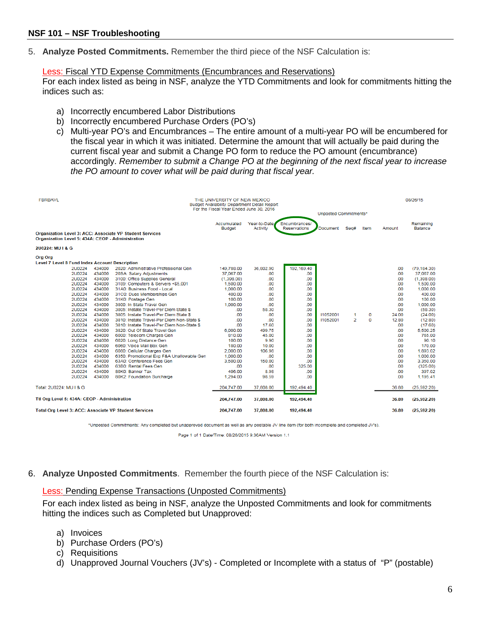5. **Analyze Posted Commitments.** Remember the third piece of the NSF Calculation is:

#### Less: Fiscal YTD Expense Commitments (Encumbrances and Reservations)

For each index listed as being in NSF, analyze the YTD Commitments and look for commitments hitting the indices such as:

- a) Incorrectly encumbered Labor Distributions
- b) Incorrectly encumbered Purchase Orders (PO's)
- c) Multi-year PO's and Encumbrances The entire amount of a multi-year PO will be encumbered for the fiscal year in which it was initiated. Determine the amount that will actually be paid during the current fiscal year and submit a Change PO form to reduce the PO amount (encumbrance) accordingly. *Remember to submit a Change PO at the beginning of the next fiscal year to increase the PO amount to cover what will be paid during that fiscal year.*

| <b>FBRBAVL</b>                                                  |        | THE UNIVERSITY OF NEW MEXICO<br><b>Budget Availability Department Detail Report</b><br>For the Fiscal Year Ended June 30, 2016<br>Unposted Commitments* |                              |                          |                                      |          |                |      |        | 08/26/15                    |
|-----------------------------------------------------------------|--------|---------------------------------------------------------------------------------------------------------------------------------------------------------|------------------------------|--------------------------|--------------------------------------|----------|----------------|------|--------|-----------------------------|
| <b>Organization Level 3: ACC: Associate VP Student Services</b> |        |                                                                                                                                                         | Accumulated<br><b>Budget</b> | Year-to-Date<br>Activity | Encumbrances/<br><b>Reservations</b> | Document | Sea#           | Item | Amount | Remaining<br><b>Balance</b> |
| Organization Level 5: 434A: CEOP - Administration               |        |                                                                                                                                                         |                              |                          |                                      |          |                |      |        |                             |
| 2U0224: MU I & G                                                |        |                                                                                                                                                         |                              |                          |                                      |          |                |      |        |                             |
| Org Org                                                         |        |                                                                                                                                                         |                              |                          |                                      |          |                |      |        |                             |
| <b>Level 7 Level 8 Fund Index Account Description</b>           |        |                                                                                                                                                         |                              |                          |                                      |          |                |      |        |                             |
| 2U0224                                                          | 434000 | 2020: Administrative Professional Gen                                                                                                                   | 149.788.00                   | 36.802.90                | 192.169.40                           |          |                |      | .00    | (79.184.30)                 |
| 2U0224                                                          | 434000 | 20SA: Salary Adiustments                                                                                                                                | 37.067.00                    | .00                      | .00                                  |          |                |      | .00    | 37.067.00                   |
| 2U0224                                                          | 434000 | 3100: Office Supplies General                                                                                                                           | (1,398.00)                   | .00                      | .00                                  |          |                |      | .00    | (1,398.00)                  |
| 2U0224                                                          | 434000 | 3189: Computers & Servers <\$5,001                                                                                                                      | 1,500.00                     | .00.                     | .00.                                 |          |                |      | 00     | 1,500.00                    |
| 2U0224                                                          | 434000 | 31A0: Business Food - Local                                                                                                                             | 1,000.00                     | .00                      | .00                                  |          |                |      | .00    | 1.000.00                    |
| 2U0224                                                          | 434000 | 31C0: Dues Memberships Gen                                                                                                                              | 400.00                       | .00                      | .00                                  |          |                |      | .00    | 400.00                      |
| 2U0224                                                          | 434000 | 31K0: Postage Gen                                                                                                                                       | 100.00                       | .00.                     | .00                                  |          |                |      | .00    | 100.00                      |
| 2U0224                                                          | 434000 | 3800: In State Travel Gen                                                                                                                               | 1.000.00                     | .00                      | .00                                  |          |                |      | .00    | 1.000.00                    |
| 2U0224                                                          | 434000 | 3805: Instate Travel-Per Diem State \$                                                                                                                  | .00                          | 58.30                    | .00                                  |          |                |      | .00    | (58.30)                     |
| 2U0224                                                          | 434000 | 3805: Instate Travel-Per Diem State \$                                                                                                                  | .00                          | .00 <sub>1</sub>         | .00                                  | 11052001 | 1              | 0    | 24.00  | (24.00)                     |
| 2U0224                                                          | 434000 | 3810: Instate Travel-Per Diem Non-State \$                                                                                                              | .00                          | .00                      | .00                                  | 11052001 | $\overline{2}$ | o    | 12.80  | (12.80)                     |
| 2U0224                                                          | 434000 | 3810: Instate Travel-Per Diem Non-State \$                                                                                                              | .00                          | 17.60                    | .00                                  |          |                |      | .00    | (17.60)                     |
| 2U0224                                                          | 434000 | 3820: Out Of State Travel Gen                                                                                                                           | 6,000.00                     | 499.75                   | .00                                  |          |                |      | .00.   | 5,500.25                    |
| 2U0224                                                          | 434000 | 6000: Telecom Charges Gen                                                                                                                               | 810.00                       | 45.00                    | .00                                  |          |                |      | .00    | 765.00                      |
| 2U0224                                                          | 434000 | 6020: Long Distance Gen                                                                                                                                 | 100.00                       | 9.90                     | .00                                  |          |                |      | .00    | 90.10                       |
| 2U0224                                                          | 434000 | 6060: Voice Mail Box Gen                                                                                                                                | 180.00                       | 10.00                    | .00                                  |          |                |      | .00    | 170.00                      |
| 2U0224                                                          | 434000 | 6080: Cellular Charges Gen                                                                                                                              | 2.000.00                     | 106.98                   | .00                                  |          |                |      | .00    | 1.893.02                    |
| 2U0224                                                          | 434000 | 6350: Promotional Exp F&A Unallowable Gen                                                                                                               | 1,000.00                     | .00                      | .00                                  |          |                |      | .00    | 1.000.00                    |
| 2U0224                                                          | 434000 | 63A0: Conference Fees Gen                                                                                                                               | 3.500.00                     | 150.00                   | .00                                  |          |                |      | .00.   | 3.350.00                    |
| 2U0224                                                          | 434000 | 63B0: Rental Fees Gen                                                                                                                                   | .00                          | .00.                     | 325.00                               |          |                |      | .00    | (325.00)                    |
| 2U0224                                                          | 434000 | 80K0: Banner Tax                                                                                                                                        | 406.00                       | 8.98                     | .00                                  |          |                |      | .00    | 397.02                      |
| 2U0224                                                          | 434000 | 80K2: Foundation Surcharge                                                                                                                              | 1.294.00                     | 98.59                    | .00                                  |          |                |      | .00    | 1,195.41                    |
| Total: 2U0224: MU I & G                                         |        |                                                                                                                                                         | 204.747.00                   | 37,808.00                | 192,494.40                           |          |                |      | 36.80  | (25, 592.20)                |
| Ttl Org Level 5: 434A: CEOP - Administration                    |        |                                                                                                                                                         | 204,747.00                   | 37,808.00                | 192,494.40                           |          |                |      | 36.80  | (25, 592, 20)               |
| Total Org Level 3: ACC: Associate VP Student Services           |        |                                                                                                                                                         | 204,747.00                   | 37,808.00                | 192,494.40                           |          |                |      | 36.80  | (25, 592.20)                |

\*Unposted Commitments: Any completed but unapproved document as well as any postable JV line item (for both incomplete and completed JV's).

Page 1 of 1 Date/Time: 08/26/2015 9:36AM Version 1.1

6. **Analyze Unposted Commitments**. Remember the fourth piece of the NSF Calculation is:

### Less: Pending Expense Transactions (Unposted Commitments)

For each index listed as being in NSF, analyze the Unposted Commitments and look for commitments hitting the indices such as Completed but Unapproved:

- a) Invoices
- b) Purchase Orders (PO's)
- c) Requisitions
- d) Unapproved Journal Vouchers (JV's) Completed or Incomplete with a status of "P" (postable)